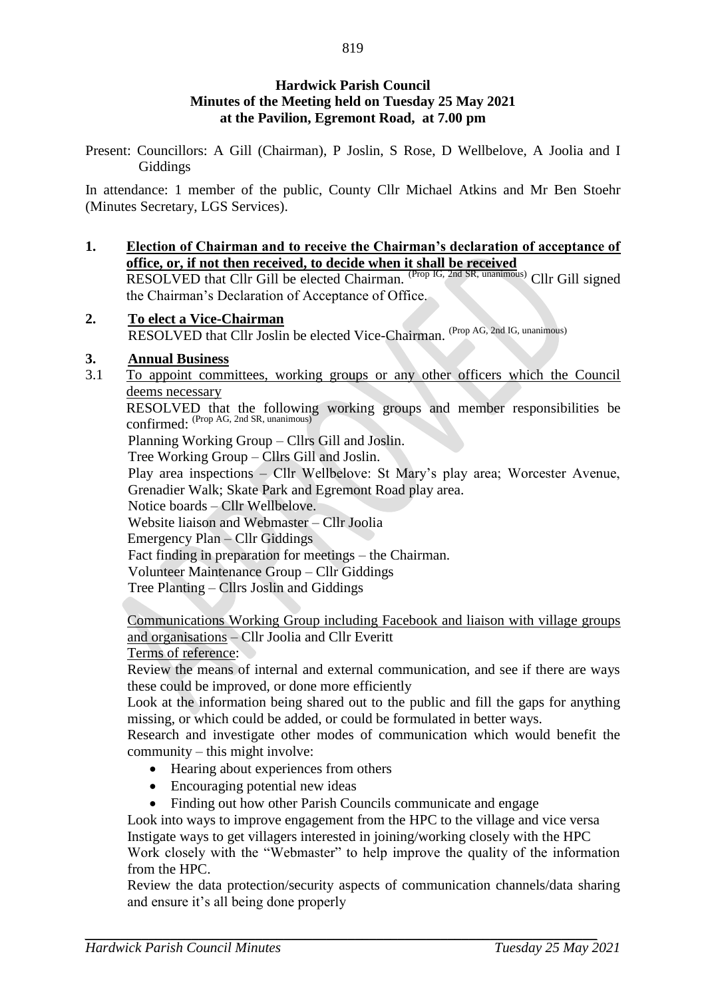## **Hardwick Parish Council Minutes of the Meeting held on Tuesday 25 May 2021 at the Pavilion, Egremont Road, at 7.00 pm**

Present: Councillors: A Gill (Chairman), P Joslin, S Rose, D Wellbelove, A Joolia and I Giddings

In attendance: 1 member of the public, County Cllr Michael Atkins and Mr Ben Stoehr (Minutes Secretary, LGS Services).

- **1. Election of Chairman and to receive the Chairman's declaration of acceptance of office, or, if not then received, to decide when it shall be received** RESOLVED that Cllr Gill be elected Chairman. <sup>(Prop IG, 2nd SR, unanimous)</sup> Cllr Gill signed the Chairman's Declaration of Acceptance of Office.
- **2. To elect a Vice-Chairman** RESOLVED that Cllr Joslin be elected Vice-Chairman. (Prop AG, 2nd IG, unanimous)

## **3. Annual Business**

3.1 To appoint committees, working groups or any other officers which the Council deems necessary

RESOLVED that the following working groups and member responsibilities be confirmed: (Prop AG, 2nd SR, unanimous)

Planning Working Group – Cllrs Gill and Joslin.

Tree Working Group – Cllrs Gill and Joslin.

Play area inspections – Cllr Wellbelove: St Mary's play area; Worcester Avenue, Grenadier Walk; Skate Park and Egremont Road play area.

Notice boards – Cllr Wellbelove.

Website liaison and Webmaster – Cllr Joolia

Emergency Plan – Cllr Giddings

Fact finding in preparation for meetings – the Chairman.

Volunteer Maintenance Group – Cllr Giddings

Tree Planting – Cllrs Joslin and Giddings

Communications Working Group including Facebook and liaison with village groups and organisations – Cllr Joolia and Cllr Everitt

Terms of reference:

Review the means of internal and external communication, and see if there are ways these could be improved, or done more efficiently

Look at the information being shared out to the public and fill the gaps for anything missing, or which could be added, or could be formulated in better ways.

Research and investigate other modes of communication which would benefit the community – this might involve:

- Hearing about experiences from others
- Encouraging potential new ideas
- Finding out how other Parish Councils communicate and engage

Look into ways to improve engagement from the HPC to the village and vice versa Instigate ways to get villagers interested in joining/working closely with the HPC Work closely with the "Webmaster" to help improve the quality of the information from the HPC.

Review the data protection/security aspects of communication channels/data sharing and ensure it's all being done properly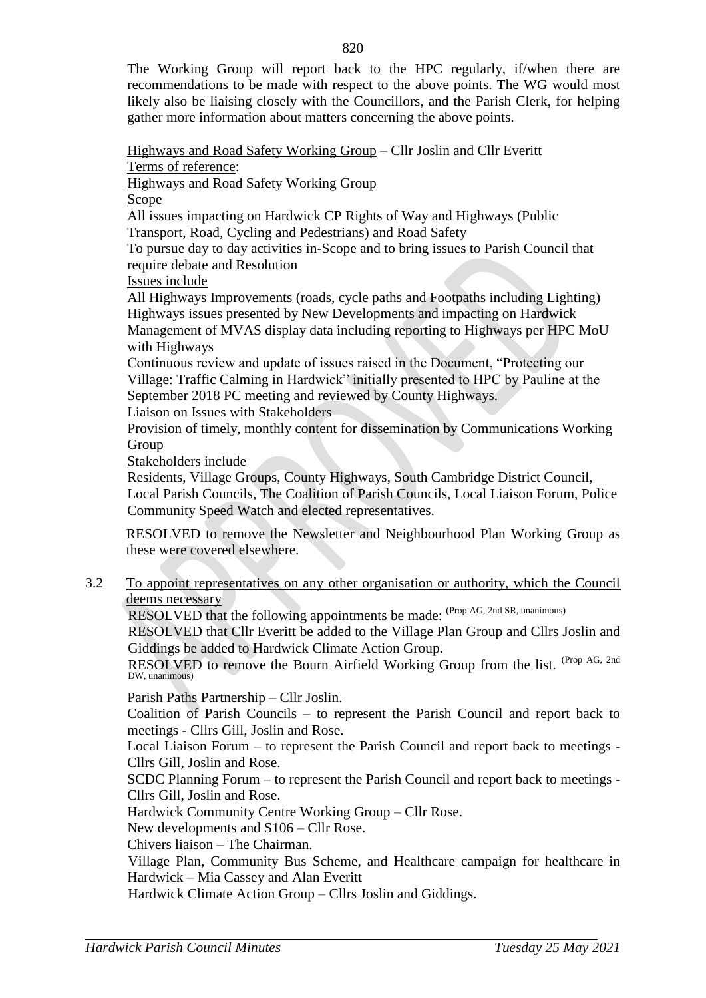The Working Group will report back to the HPC regularly, if/when there are recommendations to be made with respect to the above points. The WG would most likely also be liaising closely with the Councillors, and the Parish Clerk, for helping gather more information about matters concerning the above points.

Highways and Road Safety Working Group – Cllr Joslin and Cllr Everitt

Terms of reference:

Highways and Road Safety Working Group

Scope

All issues impacting on Hardwick CP Rights of Way and Highways (Public

Transport, Road, Cycling and Pedestrians) and Road Safety

To pursue day to day activities in-Scope and to bring issues to Parish Council that require debate and Resolution

Issues include

All Highways Improvements (roads, cycle paths and Footpaths including Lighting) Highways issues presented by New Developments and impacting on Hardwick Management of MVAS display data including reporting to Highways per HPC MoU with Highways

Continuous review and update of issues raised in the Document, "Protecting our Village: Traffic Calming in Hardwick" initially presented to HPC by Pauline at the September 2018 PC meeting and reviewed by County Highways.

Liaison on Issues with Stakeholders

Provision of timely, monthly content for dissemination by Communications Working Group

Stakeholders include

Residents, Village Groups, County Highways, South Cambridge District Council, Local Parish Councils, The Coalition of Parish Councils, Local Liaison Forum, Police Community Speed Watch and elected representatives.

RESOLVED to remove the Newsletter and Neighbourhood Plan Working Group as these were covered elsewhere.

3.2 To appoint representatives on any other organisation or authority, which the Council deems necessary

RESOLVED that the following appointments be made: (Prop AG, 2nd SR, unanimous)

RESOLVED that Cllr Everitt be added to the Village Plan Group and Cllrs Joslin and Giddings be added to Hardwick Climate Action Group.

RESOLVED to remove the Bourn Airfield Working Group from the list. (Prop AG, 2nd) DW, unanimous)

Parish Paths Partnership – Cllr Joslin.

Coalition of Parish Councils – to represent the Parish Council and report back to meetings - Cllrs Gill, Joslin and Rose.

Local Liaison Forum – to represent the Parish Council and report back to meetings - Cllrs Gill, Joslin and Rose.

SCDC Planning Forum – to represent the Parish Council and report back to meetings - Cllrs Gill, Joslin and Rose.

Hardwick Community Centre Working Group – Cllr Rose.

New developments and S106 – Cllr Rose.

Chivers liaison – The Chairman.

Village Plan, Community Bus Scheme, and Healthcare campaign for healthcare in Hardwick – Mia Cassey and Alan Everitt

Hardwick Climate Action Group – Cllrs Joslin and Giddings.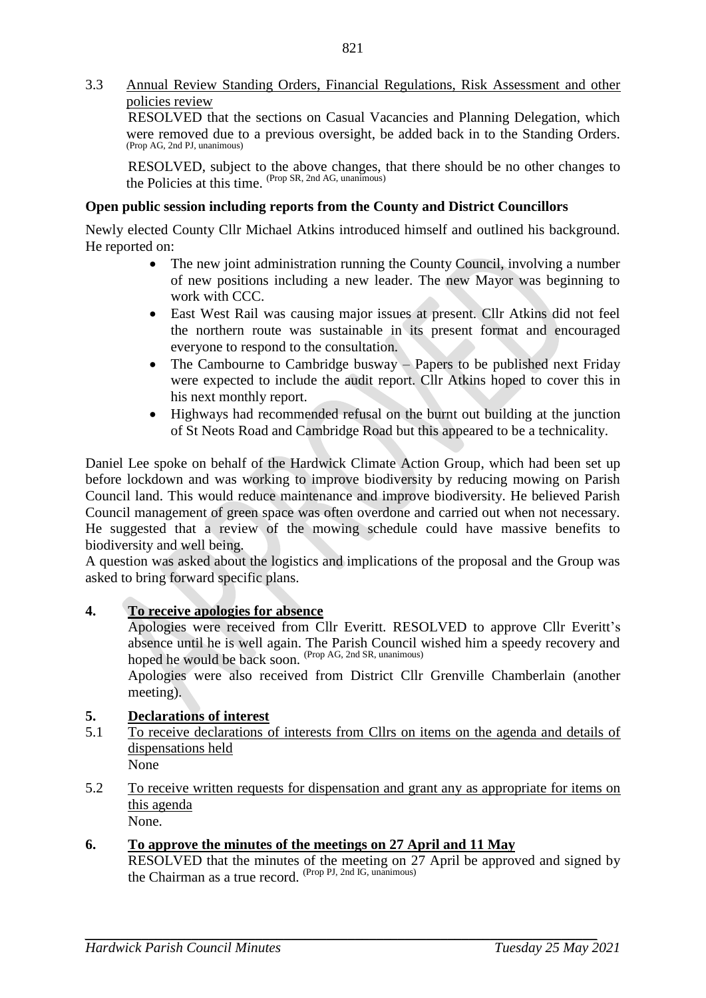3.3 Annual Review Standing Orders, Financial Regulations, Risk Assessment and other policies review

RESOLVED that the sections on Casual Vacancies and Planning Delegation, which were removed due to a previous oversight, be added back in to the Standing Orders. (Prop AG, 2nd PJ, unanimous)

RESOLVED, subject to the above changes, that there should be no other changes to the Policies at this time. (Prop SR, 2nd AG, unanimous)

### **Open public session including reports from the County and District Councillors**

Newly elected County Cllr Michael Atkins introduced himself and outlined his background. He reported on:

- The new joint administration running the County Council, involving a number of new positions including a new leader. The new Mayor was beginning to work with CCC.
- East West Rail was causing major issues at present. Cllr Atkins did not feel the northern route was sustainable in its present format and encouraged everyone to respond to the consultation.
- The Cambourne to Cambridge busway Papers to be published next Friday were expected to include the audit report. Cllr Atkins hoped to cover this in his next monthly report.
- Highways had recommended refusal on the burnt out building at the junction of St Neots Road and Cambridge Road but this appeared to be a technicality.

Daniel Lee spoke on behalf of the Hardwick Climate Action Group, which had been set up before lockdown and was working to improve biodiversity by reducing mowing on Parish Council land. This would reduce maintenance and improve biodiversity. He believed Parish Council management of green space was often overdone and carried out when not necessary. He suggested that a review of the mowing schedule could have massive benefits to biodiversity and well being.

A question was asked about the logistics and implications of the proposal and the Group was asked to bring forward specific plans.

#### **4. To receive apologies for absence**

Apologies were received from Cllr Everitt. RESOLVED to approve Cllr Everitt's absence until he is well again. The Parish Council wished him a speedy recovery and hoped he would be back soon. (Prop AG, 2nd SR, unanimous)

Apologies were also received from District Cllr Grenville Chamberlain (another meeting).

## **5. Declarations of interest**

- 5.1 To receive declarations of interests from Cllrs on items on the agenda and details of dispensations held None
- 5.2 To receive written requests for dispensation and grant any as appropriate for items on this agenda None.
- **6. To approve the minutes of the meetings on 27 April and 11 May** RESOLVED that the minutes of the meeting on 27 April be approved and signed by the Chairman as a true record. (Prop PJ, 2nd IG, unanimous)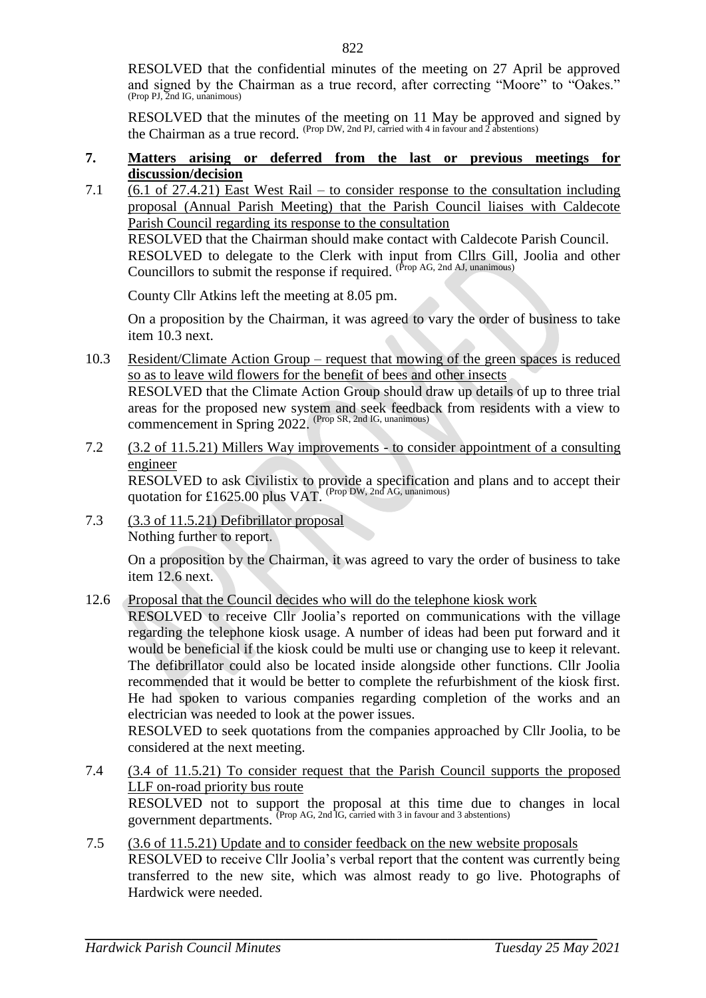RESOLVED that the confidential minutes of the meeting on 27 April be approved and signed by the Chairman as a true record, after correcting "Moore" to "Oakes." (Prop PJ, 2nd IG, unanimous)

RESOLVED that the minutes of the meeting on 11 May be approved and signed by the Chairman as a true record. (Prop DW, 2nd PJ, carried with 4 in favour and 2 abstentions)

#### **7. Matters arising or deferred from the last or previous meetings for discussion/decision**

7.1  $(6.1 \text{ of } 27.4.21)$  East West Rail – to consider response to the consultation including proposal (Annual Parish Meeting) that the Parish Council liaises with Caldecote Parish Council regarding its response to the consultation RESOLVED that the Chairman should make contact with Caldecote Parish Council. RESOLVED to delegate to the Clerk with input from Cllrs Gill, Joolia and other Councillors to submit the response if required. (Prop AG, 2nd AJ, unanimous)

County Cllr Atkins left the meeting at 8.05 pm.

On a proposition by the Chairman, it was agreed to vary the order of business to take item 10.3 next.

10.3 Resident/Climate Action Group – request that mowing of the green spaces is reduced so as to leave wild flowers for the benefit of bees and other insects

RESOLVED that the Climate Action Group should draw up details of up to three trial areas for the proposed new system and seek feedback from residents with a view to commencement in Spring 2022. (Prop SR, 2nd IG, unanimous)

7.2 (3.2 of 11.5.21) Millers Way improvements - to consider appointment of a consulting engineer

RESOLVED to ask Civilistix to provide a specification and plans and to accept their quotation for £1625.00 plus VAT. (Prop DW, 2nd AG, unanimous)

7.3 (3.3 of 11.5.21) Defibrillator proposal Nothing further to report.

> On a proposition by the Chairman, it was agreed to vary the order of business to take item 12.6 next.

12.6 Proposal that the Council decides who will do the telephone kiosk work

RESOLVED to receive Cllr Joolia's reported on communications with the village regarding the telephone kiosk usage. A number of ideas had been put forward and it would be beneficial if the kiosk could be multi use or changing use to keep it relevant. The defibrillator could also be located inside alongside other functions. Cllr Joolia recommended that it would be better to complete the refurbishment of the kiosk first. He had spoken to various companies regarding completion of the works and an electrician was needed to look at the power issues.

RESOLVED to seek quotations from the companies approached by Cllr Joolia, to be considered at the next meeting.

- 7.4 (3.4 of 11.5.21) To consider request that the Parish Council supports the proposed LLF on-road priority bus route RESOLVED not to support the proposal at this time due to changes in local government departments. (Prop AG, 2nd IG, carried with 3 in favour and 3 abstentions)
- 7.5 (3.6 of 11.5.21) Update and to consider feedback on the new website proposals RESOLVED to receive Cllr Joolia's verbal report that the content was currently being transferred to the new site, which was almost ready to go live. Photographs of Hardwick were needed.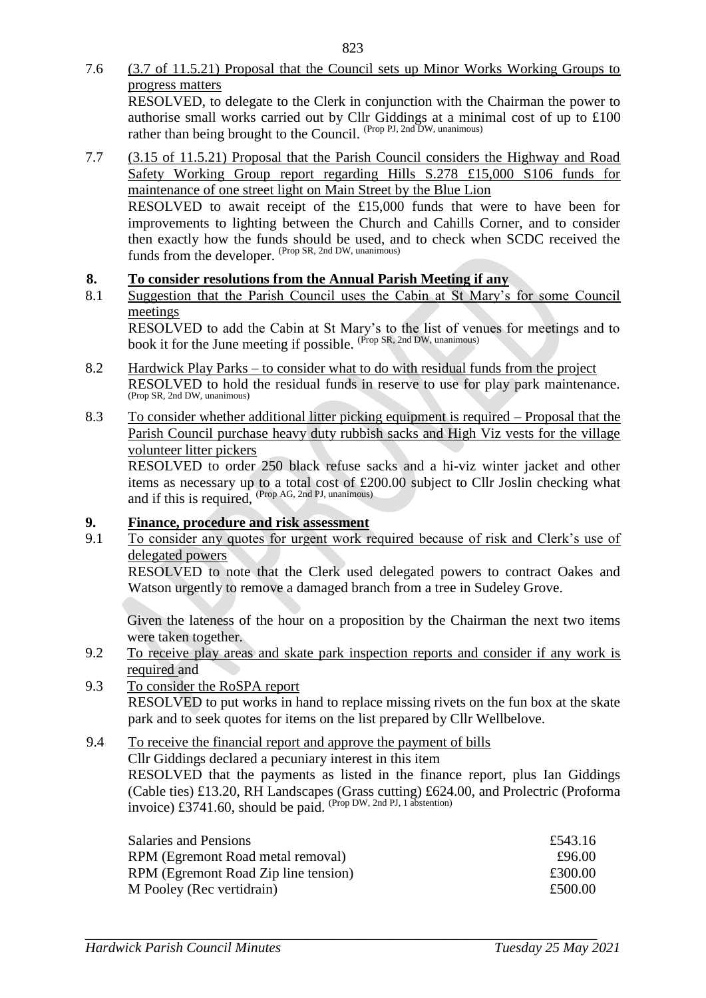- 7.6 (3.7 of 11.5.21) Proposal that the Council sets up Minor Works Working Groups to progress matters RESOLVED, to delegate to the Clerk in conjunction with the Chairman the power to authorise small works carried out by Cllr Giddings at a minimal cost of up to £100 rather than being brought to the Council. (Prop PJ, 2nd DW, unanimous)
- 7.7 (3.15 of 11.5.21) Proposal that the Parish Council considers the Highway and Road Safety Working Group report regarding Hills S.278 £15,000 S106 funds for maintenance of one street light on Main Street by the Blue Lion RESOLVED to await receipt of the £15,000 funds that were to have been for improvements to lighting between the Church and Cahills Corner, and to consider then exactly how the funds should be used, and to check when SCDC received the funds from the developer. (Prop SR, 2nd DW, unanimous)

# **8. To consider resolutions from the Annual Parish Meeting if any**

8.1 Suggestion that the Parish Council uses the Cabin at St Mary's for some Council meetings

RESOLVED to add the Cabin at St Mary's to the list of venues for meetings and to book it for the June meeting if possible. <sup>(Prop SR, 2nd DW, unanimous)</sup>

- 8.2 Hardwick Play Parks to consider what to do with residual funds from the project RESOLVED to hold the residual funds in reserve to use for play park maintenance. (Prop SR, 2nd DW, unanimous)
- 8.3 To consider whether additional litter picking equipment is required Proposal that the Parish Council purchase heavy duty rubbish sacks and High Viz vests for the village volunteer litter pickers

RESOLVED to order 250 black refuse sacks and a hi-viz winter jacket and other items as necessary up to a total cost of £200.00 subject to Cllr Joslin checking what and if this is required, (Prop AG, 2nd PJ, unanimous)

## **9. Finance, procedure and risk assessment**

9.1 To consider any quotes for urgent work required because of risk and Clerk's use of delegated powers

RESOLVED to note that the Clerk used delegated powers to contract Oakes and Watson urgently to remove a damaged branch from a tree in Sudeley Grove.

Given the lateness of the hour on a proposition by the Chairman the next two items were taken together.

- 9.2 To receive play areas and skate park inspection reports and consider if any work is required and
- 9.3 To consider the RoSPA report RESOLVED to put works in hand to replace missing rivets on the fun box at the skate park and to seek quotes for items on the list prepared by Cllr Wellbelove.

## 9.4 To receive the financial report and approve the payment of bills

Cllr Giddings declared a pecuniary interest in this item RESOLVED that the payments as listed in the finance report, plus Ian Giddings (Cable ties) £13.20, RH Landscapes (Grass cutting) £624.00, and Prolectric (Proforma invoice) £3741.60, should be paid. (Prop DW, 2nd PJ, 1 abstention)

| <b>Salaries and Pensions</b>         | £543.16 |
|--------------------------------------|---------|
| RPM (Egremont Road metal removal)    | £96.00  |
| RPM (Egremont Road Zip line tension) | £300.00 |
| M Pooley (Rec vertidrain)            | £500.00 |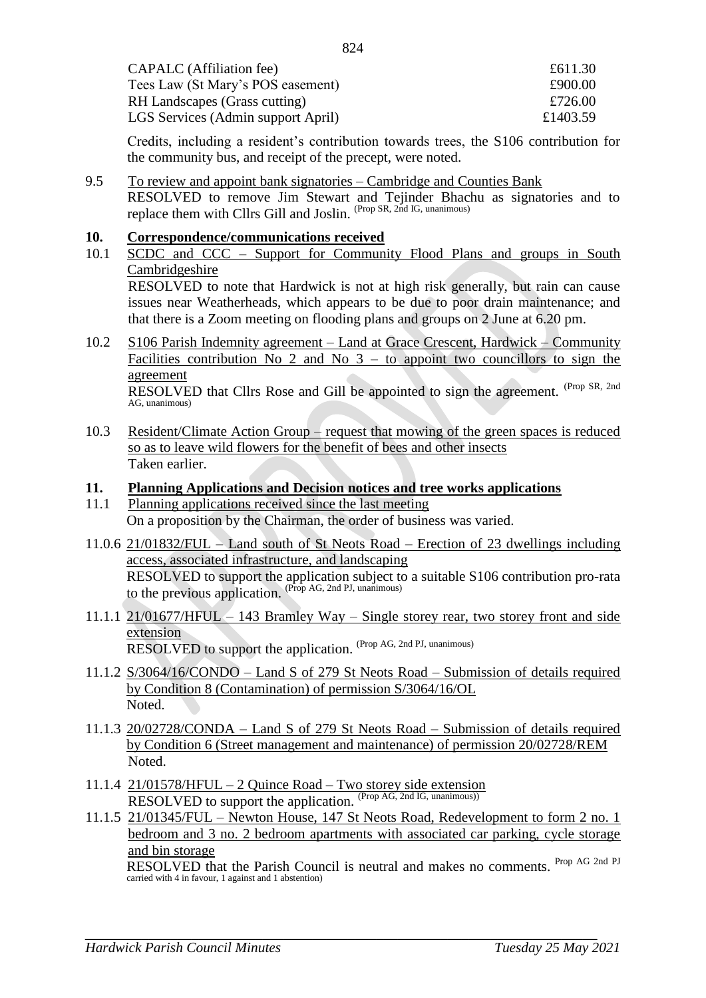| £611.30  |
|----------|
| £900.00  |
| £726.00  |
| £1403.59 |
|          |

Credits, including a resident's contribution towards trees, the S106 contribution for the community bus, and receipt of the precept, were noted.

9.5 To review and appoint bank signatories – Cambridge and Counties Bank RESOLVED to remove Jim Stewart and Tejinder Bhachu as signatories and to replace them with Cllrs Gill and Joslin. (Prop SR, 2nd IG, unanimous)

#### **10. Correspondence/communications received**

- 10.1 SCDC and CCC Support for Community Flood Plans and groups in South **Cambridgeshire** RESOLVED to note that Hardwick is not at high risk generally, but rain can cause issues near Weatherheads, which appears to be due to poor drain maintenance; and that there is a Zoom meeting on flooding plans and groups on 2 June at 6.20 pm.
- 10.2 S106 Parish Indemnity agreement Land at Grace Crescent, Hardwick Community Facilities contribution No 2 and No  $3 -$  to appoint two councillors to sign the agreement

RESOLVED that Cllrs Rose and Gill be appointed to sign the agreement. (Prop SR, 2nd AG, unanimous)

10.3 Resident/Climate Action Group – request that mowing of the green spaces is reduced so as to leave wild flowers for the benefit of bees and other insects Taken earlier.

#### **11. Planning Applications and Decision notices and tree works applications**

- 11.1 Planning applications received since the last meeting On a proposition by the Chairman, the order of business was varied.
- 11.0.6 21/01832/FUL Land south of St Neots Road Erection of 23 dwellings including access, associated infrastructure, and landscaping RESOLVED to support the application subject to a suitable S106 contribution pro-rata to the previous application. (Prop AG, 2nd PJ, unanimous)
- 11.1.1 21/01677/HFUL 143 Bramley Way Single storey rear, two storey front and side extension RESOLVED to support the application. (Prop AG, 2nd PJ, unanimous)
- 11.1.2 S/3064/16/CONDO Land S of 279 St Neots Road Submission of details required by Condition 8 (Contamination) of permission S/3064/16/OL Noted.
- 11.1.3 20/02728/CONDA Land S of 279 St Neots Road Submission of details required by Condition 6 (Street management and maintenance) of permission 20/02728/REM Noted.
- 11.1.4 21/01578/HFUL 2 Quince Road Two storey side extension RESOLVED to support the application. (Prop AG, 2nd IG, unanimous))
- 11.1.5 21/01345/FUL Newton House, 147 St Neots Road, Redevelopment to form 2 no. 1 bedroom and 3 no. 2 bedroom apartments with associated car parking, cycle storage and bin storage

RESOLVED that the Parish Council is neutral and makes no comments. Prop AG 2nd PJ carried with 4 in favour, 1 against and 1 abstention)